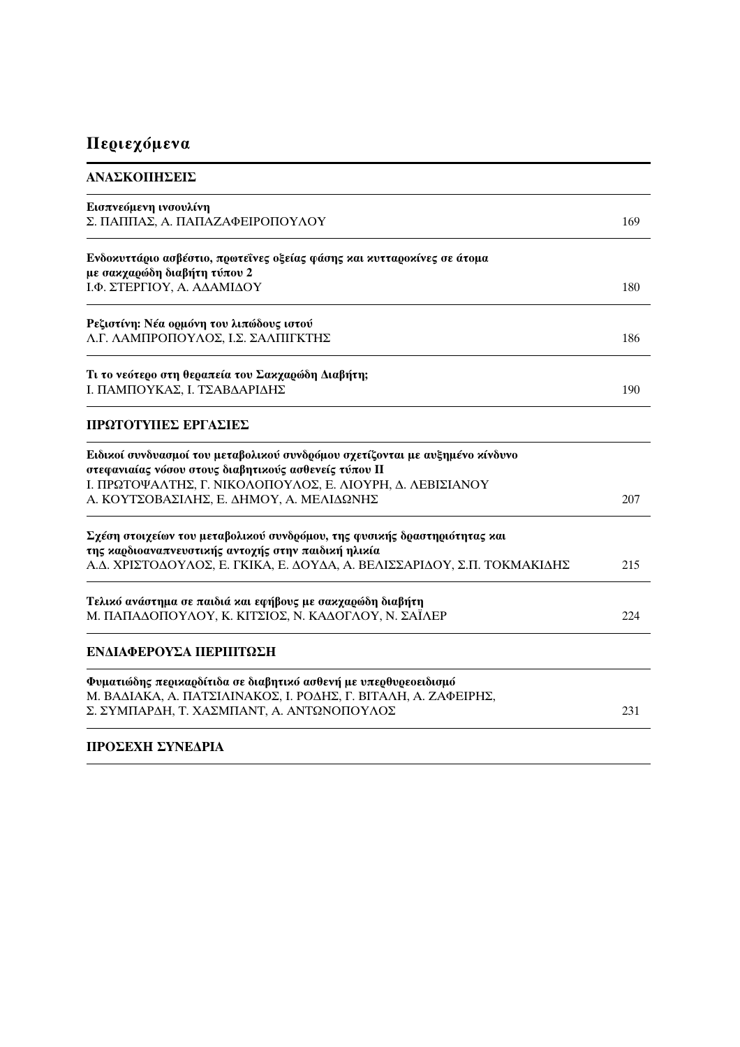## Περιεχόμενα

| ΑΝΑΣΚΟΠΗΣΕΙΣ                                                                                                                          |     |
|---------------------------------------------------------------------------------------------------------------------------------------|-----|
| Εισπνεόμενη ινσουλίνη<br>Σ. ΠΑΠΠΑΣ, Α. ΠΑΠΑΖΑΦΕΙΡΟΠΟΥΛΟΥ                                                                              | 169 |
| Ενδοκυττάριο ασβέστιο, πρωτεΐνες οξείας φάσης και κυτταροκίνες σε άτομα<br>με σακχαρώδη διαβήτη τύπου 2                               |     |
| Ι.Φ. ΣΤΕΡΓΙΟΥ, Α. ΑΔΑΜΙΔΟΥ                                                                                                            | 180 |
| Ρεζιστίνη: Νέα ορμόνη του λιπώδους ιστού<br>Λ.Γ. ΛΑΜΠΡΟΠΟΥΛΟΣ, Ι.Σ. ΣΑΛΠΙΓΚΤΗΣ                                                        | 186 |
| Τι το νεότερο στη θεραπεία του Σακχαρώδη Διαβήτη;<br>Ι. ΠΑΜΠΟΥΚΑΣ, Ι. ΤΣΑΒΔΑΡΙΔΗΣ                                                     | 190 |
| ΠΡΩΤΟΤΥΠΕΣ ΕΡΓΑΣΙΕΣ                                                                                                                   |     |
| Ειδικοί συνδυασμοί του μεταβολικού συνδρόμου σχετίζονται με αυξημένο κίνδυνο<br>στεφανιαίας νόσου στους διαβητικούς ασθενείς τύπου II |     |
| Ι. ΠΡΩΤΟΨΑΛΤΗΣ, Γ. ΝΙΚΟΛΟΠΟΥΛΟΣ, Ε. ΛΙΟΥΡΗ, Δ. ΛΕΒΙΣΙΑΝΟΥ<br>Α. ΚΟΥΤΣΟΒΑΣΙΛΗΣ, Ε. ΔΗΜΟΥ, Α. ΜΕΛΙΔΩΝΗΣ                                 | 207 |
| Σχέση στοιχείων του μεταβολικού συνδρόμου, της φυσικής δραστηριότητας και<br>της καρδιοαναπνευστικής αντοχής στην παιδική ηλικία      |     |
| Α.Δ. ΧΡΙΣΤΟΔΟΥΛΟΣ, Ε. ΓΚΙΚΑ, Ε. ΔΟΥΔΑ, Α. ΒΕΛΙΣΣΑΡΙΔΟΥ, Σ.Π. ΤΟΚΜΑΚΙΔΗΣ                                                               | 215 |
| Τελικό ανάστημα σε παιδιά και εφήβους με σακχαρώδη διαβήτη<br>Μ. ΠΑΠΑΔΟΠΟΥΛΟΥ, Κ. ΚΙΤΣΙΟΣ, Ν. ΚΑΔΟΓΛΟΥ, Ν. ΣΑΪΛΕΡ                     | 224 |
| ΕΝΔΙΑΦΕΡΟΥΣΑ ΠΕΡΙΠΤΩΣΗ                                                                                                                |     |
| Φυματιώδης περικαρδίτιδα σε διαβητικό ασθενή με υπερθυρεοειδισμό<br>Μ. ΒΑΔΙΑΚΑ, Α. ΠΑΤΣΙΛΙΝΑΚΟΣ, Ι. ΡΟΔΗΣ, Γ. ΒΙΤΑΛΗ, Α. ΖΑΦΕΙΡΗΣ,    |     |
| Σ. ΣΥΜΠΑΡΔΗ, Τ. ΧΑΣΜΠΑΝΤ, Α. ΑΝΤΩΝΟΠΟΥΛΟΣ                                                                                             | 231 |
|                                                                                                                                       |     |

## ΠΡΟΣΕΧΗ ΣΥΝΕΔΡΙΑ